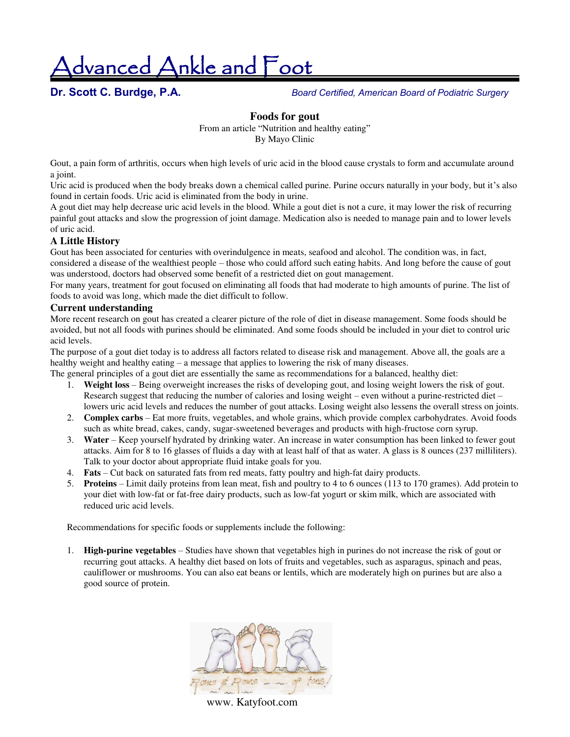dvanced Ankle and Foot

**Dr. Scott C. Burdge, P.A.** *Board Certified, American Board of Podiatric Surgery* 

#### **Foods for gout**

From an article "Nutrition and healthy eating" By Mayo Clinic

Gout, a pain form of arthritis, occurs when high levels of uric acid in the blood cause crystals to form and accumulate around a joint.

Uric acid is produced when the body breaks down a chemical called purine. Purine occurs naturally in your body, but it's also found in certain foods. Uric acid is eliminated from the body in urine.

A gout diet may help decrease uric acid levels in the blood. While a gout diet is not a cure, it may lower the risk of recurring painful gout attacks and slow the progression of joint damage. Medication also is needed to manage pain and to lower levels of uric acid.

#### **A Little History**

Gout has been associated for centuries with overindulgence in meats, seafood and alcohol. The condition was, in fact, considered a disease of the wealthiest people – those who could afford such eating habits. And long before the cause of gout was understood, doctors had observed some benefit of a restricted diet on gout management.

For many years, treatment for gout focused on eliminating all foods that had moderate to high amounts of purine. The list of foods to avoid was long, which made the diet difficult to follow.

#### **Current understanding**

More recent research on gout has created a clearer picture of the role of diet in disease management. Some foods should be avoided, but not all foods with purines should be eliminated. And some foods should be included in your diet to control uric acid levels.

The purpose of a gout diet today is to address all factors related to disease risk and management. Above all, the goals are a healthy weight and healthy eating – a message that applies to lowering the risk of many diseases.

The general principles of a gout diet are essentially the same as recommendations for a balanced, healthy diet:

- 1. **Weight loss** Being overweight increases the risks of developing gout, and losing weight lowers the risk of gout. Research suggest that reducing the number of calories and losing weight – even without a purine-restricted diet – lowers uric acid levels and reduces the number of gout attacks. Losing weight also lessens the overall stress on joints.
- 2. **Complex carbs** Eat more fruits, vegetables, and whole grains, which provide complex carbohydrates. Avoid foods such as white bread, cakes, candy, sugar-sweetened beverages and products with high-fructose corn syrup.
- 3. **Water** Keep yourself hydrated by drinking water. An increase in water consumption has been linked to fewer gout attacks. Aim for 8 to 16 glasses of fluids a day with at least half of that as water. A glass is 8 ounces (237 milliliters). Talk to your doctor about appropriate fluid intake goals for you.
- 4. **Fats** Cut back on saturated fats from red meats, fatty poultry and high-fat dairy products.
- 5. **Proteins** Limit daily proteins from lean meat, fish and poultry to 4 to 6 ounces (113 to 170 grames). Add protein to your diet with low-fat or fat-free dairy products, such as low-fat yogurt or skim milk, which are associated with reduced uric acid levels.

Recommendations for specific foods or supplements include the following:

1. **High-purine vegetables** – Studies have shown that vegetables high in purines do not increase the risk of gout or recurring gout attacks. A healthy diet based on lots of fruits and vegetables, such as asparagus, spinach and peas, cauliflower or mushrooms. You can also eat beans or lentils, which are moderately high on purines but are also a good source of protein.



www. Katyfoot.com